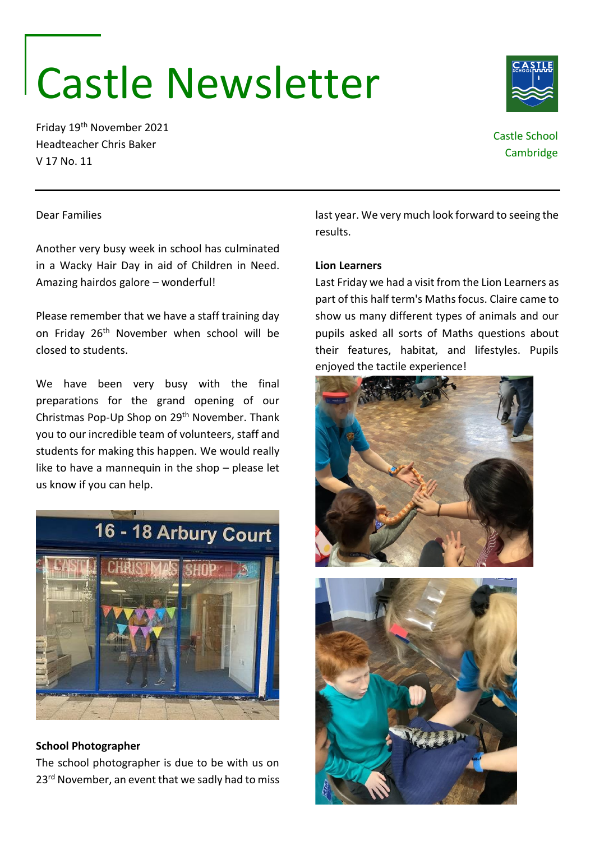# Castle Newsletter

Friday 19th November 2021 Headteacher Chris Baker V 17 No. 11

## Castle School **Cambridge**

#### Dear Families

Another very busy week in school has culminated in a Wacky Hair Day in aid of Children in Need. Amazing hairdos galore – wonderful!

Please remember that we have a staff training day on Friday 26<sup>th</sup> November when school will be closed to students.

We have been very busy with the final preparations for the grand opening of our Christmas Pop-Up Shop on 29th November. Thank you to our incredible team of volunteers, staff and students for making this happen. We would really like to have a mannequin in the shop – please let us know if you can help.



#### **School Photographer**

The school photographer is due to be with us on 23<sup>rd</sup> November, an event that we sadly had to miss last year. We very much look forward to seeing the results.

#### **Lion Learners**

Last Friday we had a visit from the Lion Learners as part of this half term's Maths focus. Claire came to show us many different types of animals and our pupils asked all sorts of Maths questions about their features, habitat, and lifestyles. Pupils enjoyed the tactile experience!